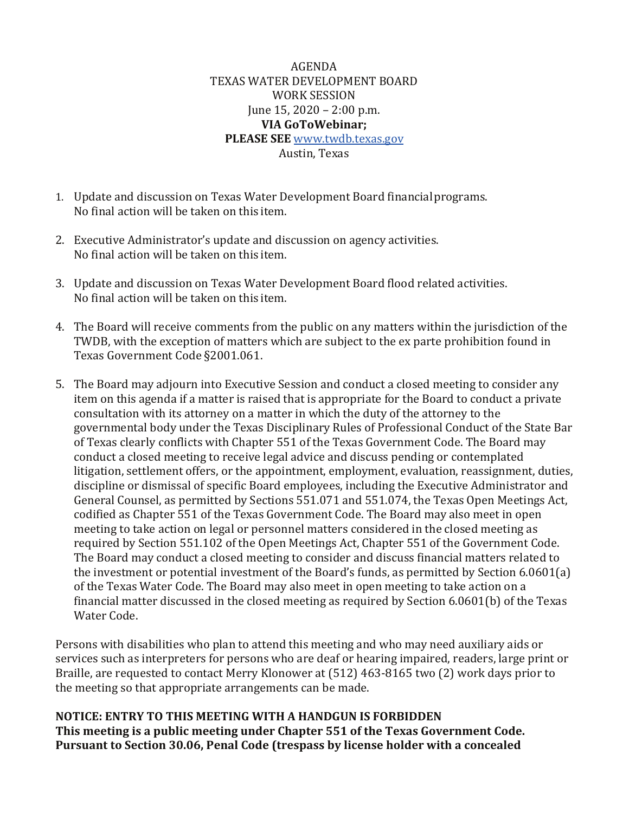AGENDA TEXAS WATER DEVELOPMENT BOARD WORK SESSION June 15, 2020 – 2:00 p.m. **VIA GoToWebinar; PLEASE SEE** [www.twdb.texas.gov](http://www.twdb.texas.gov/) Austin, Texas

- 1. Update and discussion on Texas Water Development Board financialprograms. No final action will be taken on this item.
- 2. Executive Administrator's update and discussion on agency activities. No final action will be taken on this item.
- 3. Update and discussion on Texas Water Development Board flood related activities. No final action will be taken on this item.
- 4. The Board will receive comments from the public on any matters within the jurisdiction of the TWDB, with the exception of matters which are subject to the ex parte prohibition found in Texas Government Code §2001.061.
- 5. The Board may adjourn into Executive Session and conduct a closed meeting to consider any item on this agenda if a matter is raised that is appropriate for the Board to conduct a private consultation with its attorney on a matter in which the duty of the attorney to the governmental body under the Texas Disciplinary Rules of Professional Conduct of the State Bar of Texas clearly conflicts with Chapter 551 of the Texas Government Code. The Board may conduct a closed meeting to receive legal advice and discuss pending or contemplated litigation, settlement offers, or the appointment, employment, evaluation, reassignment, duties, discipline or dismissal of specific Board employees, including the Executive Administrator and General Counsel, as permitted by Sections 551.071 and 551.074, the Texas Open Meetings Act, codified as Chapter 551 of the Texas Government Code. The Board may also meet in open meeting to take action on legal or personnel matters considered in the closed meeting as required by Section 551.102 of the Open Meetings Act, Chapter 551 of the Government Code. The Board may conduct a closed meeting to consider and discuss financial matters related to the investment or potential investment of the Board's funds, as permitted by Section 6.0601(a) of the Texas Water Code. The Board may also meet in open meeting to take action on a financial matter discussed in the closed meeting as required by Section 6.0601(b) of the Texas Water Code.

Persons with disabilities who plan to attend this meeting and who may need auxiliary aids or services such as interpreters for persons who are deaf or hearing impaired, readers, large print or Braille, are requested to contact Merry Klonower at (512) 463-8165 two (2) work days prior to the meeting so that appropriate arrangements can be made.

**NOTICE: ENTRY TO THIS MEETING WITH A HANDGUN IS FORBIDDEN This meeting is a public meeting under Chapter 551 of the Texas Government Code. Pursuant to Section 30.06, Penal Code (trespass by license holder with a concealed**